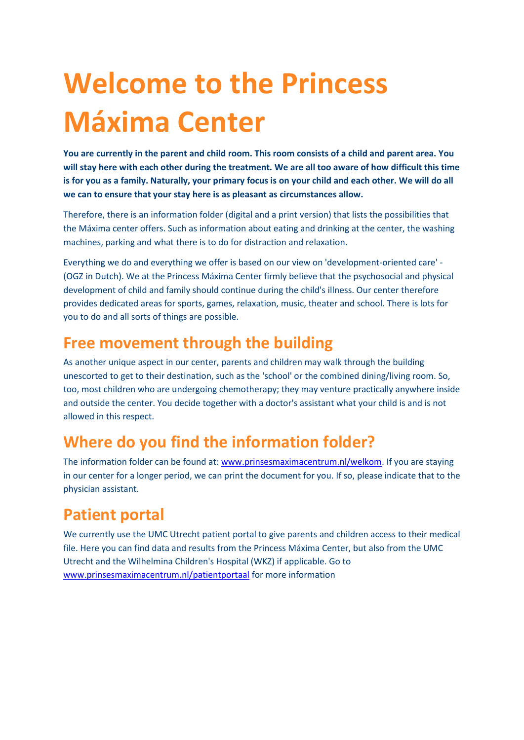## **Welcome to the Princess Máxima Center**

**You are currently in the parent and child room. This room consists of a child and parent area. You will stay here with each other during the treatment. We are all too aware of how difficult this time is for you as a family. Naturally, your primary focus is on your child and each other. We will do all we can to ensure that your stay here is as pleasant as circumstances allow.** 

Therefore, there is an information folder (digital and a print version) that lists the possibilities that the Máxima center offers. Such as information about eating and drinking at the center, the washing machines, parking and what there is to do for distraction and relaxation.

Everything we do and everything we offer is based on our view on 'development-oriented care' - (OGZ in Dutch). We at the Princess Máxima Center firmly believe that the psychosocial and physical development of child and family should continue during the child's illness. Our center therefore provides dedicated areas for sports, games, relaxation, music, theater and school. There is lots for you to do and all sorts of things are possible.

#### **Free movement through the building**

As another unique aspect in our center, parents and children may walk through the building unescorted to get to their destination, such as the 'school' or the combined dining/living room. So, too, most children who are undergoing chemotherapy; they may venture practically anywhere inside and outside the center. You decide together with a doctor's assistant what your child is and is not allowed in this respect.

### **Where do you find the information folder?**

The information folder can be found at: [www.prinsesmaximacentrum.nl/welkom.](http://www.prinsesmaximacentrum.nl/welkom) If you are staying in our center for a longer period, we can print the document for you. If so, please indicate that to the physician assistant.

### **Patient portal**

We currently use the UMC Utrecht patient portal to give parents and children access to their medical file. Here you can find data and results from the Princess Máxima Center, but also from the UMC Utrecht and the Wilhelmina Children's Hospital (WKZ) if applicable. Go to [www.prinsesmaximacentrum.nl/patientportaal](http://www.prinsesmaximacentrum.nl/patientportaal) for more information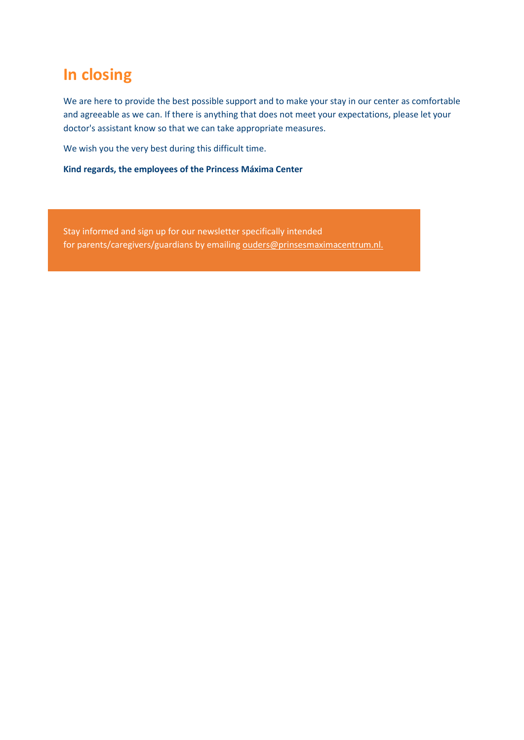#### **In closing**

We are here to provide the best possible support and to make your stay in our center as comfortable and agreeable as we can. If there is anything that does not meet your expectations, please let your doctor's assistant know so that we can take appropriate measures.

We wish you the very best during this difficult time.

**Kind regards, the employees of the Princess Máxima Center**

Stay informed and sign up for our newsletter specifically intended for parents/caregivers/guardians by emailing ouders@prinsesmaximacentrum.nl.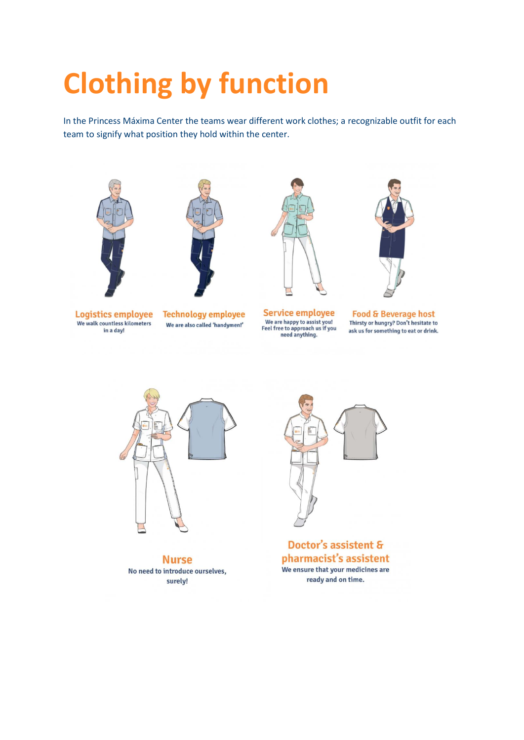## **Clothing by function**

In the Princess Máxima Center the teams wear different work clothes; a recognizable outfit for each team to signify what position they hold within the center.





We walk countless kilometers in a day!



We are also called 'handymen!'



**Service employee** We are happy to assist you!<br>Feel free to approach us if you<br>need anything.



**Food & Beverage host** Thirsty or hungry? Don't hesitate to ask us for something to eat or drink.



**Nurse** No need to introduce ourselves, surely!



Doctor's assistent & pharmacist's assistent We ensure that your medicines are ready and on time.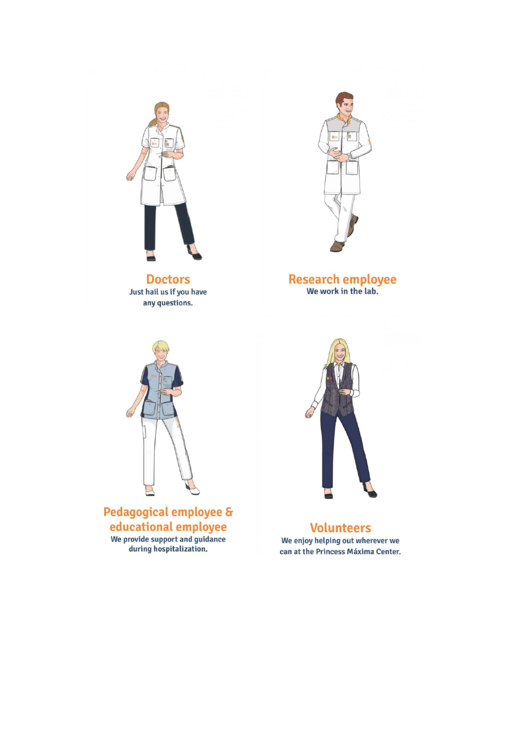

**Doctors** Just hail us if you have any questions.



## Research employee<br>We work in the lab.



Pedagogical employee & educational employee We provide support and guidance during hospitalization.



**Volunteers** We enjoy helping out wherever we can at the Princess Máxima Center.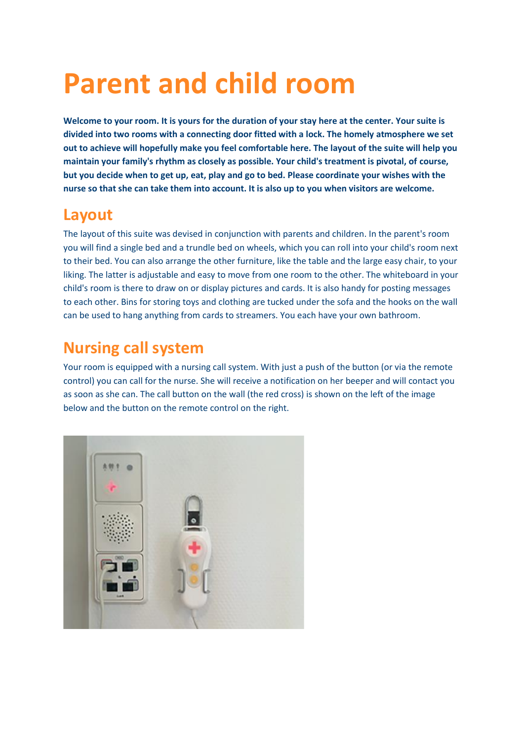## **Parent and child room**

**Welcome to your room. It is yours for the duration of your stay here at the center. Your suite is divided into two rooms with a connecting door fitted with a lock. The homely atmosphere we set out to achieve will hopefully make you feel comfortable here. The layout of the suite will help you maintain your family's rhythm as closely as possible. Your child's treatment is pivotal, of course, but you decide when to get up, eat, play and go to bed. Please coordinate your wishes with the nurse so that she can take them into account. It is also up to you when visitors are welcome.**

#### **Layout**

The layout of this suite was devised in conjunction with parents and children. In the parent's room you will find a single bed and a trundle bed on wheels, which you can roll into your child's room next to their bed. You can also arrange the other furniture, like the table and the large easy chair, to your liking. The latter is adjustable and easy to move from one room to the other. The whiteboard in your child's room is there to draw on or display pictures and cards. It is also handy for posting messages to each other. Bins for storing toys and clothing are tucked under the sofa and the hooks on the wall can be used to hang anything from cards to streamers. You each have your own bathroom.

### **Nursing call system**

Your room is equipped with a nursing call system. With just a push of the button (or via the remote control) you can call for the nurse. She will receive a notification on her beeper and will contact you as soon as she can. The call button on the wall (the red cross) is shown on the left of the image below and the button on the remote control on the right.

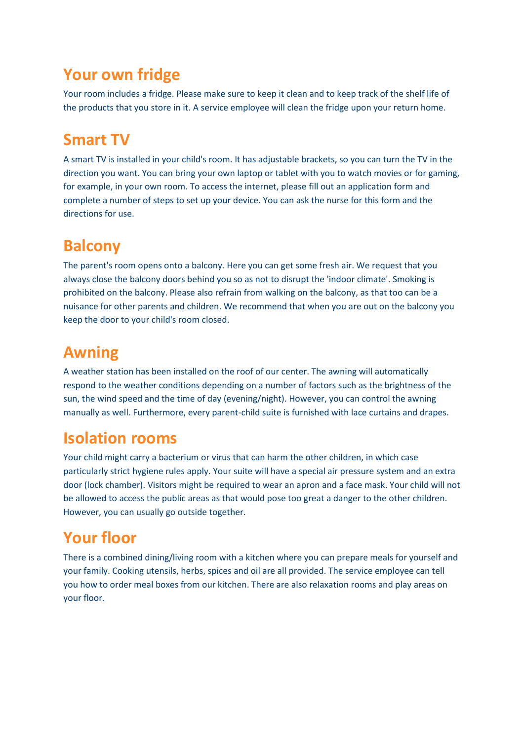#### **Your own fridge**

Your room includes a fridge. Please make sure to keep it clean and to keep track of the shelf life of the products that you store in it. A service employee will clean the fridge upon your return home.

### **Smart TV**

A smart TV is installed in your child's room. It has adjustable brackets, so you can turn the TV in the direction you want. You can bring your own laptop or tablet with you to watch movies or for gaming, for example, in your own room. To access the internet, please fill out an application form and complete a number of steps to set up your device. You can ask the nurse for this form and the directions for use.

#### **Balcony**

The parent's room opens onto a balcony. Here you can get some fresh air. We request that you always close the balcony doors behind you so as not to disrupt the 'indoor climate'. Smoking is prohibited on the balcony. Please also refrain from walking on the balcony, as that too can be a nuisance for other parents and children. We recommend that when you are out on the balcony you keep the door to your child's room closed.

#### **Awning**

A weather station has been installed on the roof of our center. The awning will automatically respond to the weather conditions depending on a number of factors such as the brightness of the sun, the wind speed and the time of day (evening/night). However, you can control the awning manually as well. Furthermore, every parent-child suite is furnished with lace curtains and drapes.

#### **Isolation rooms**

Your child might carry a bacterium or virus that can harm the other children, in which case particularly strict hygiene rules apply. Your suite will have a special air pressure system and an extra door (lock chamber). Visitors might be required to wear an apron and a face mask. Your child will not be allowed to access the public areas as that would pose too great a danger to the other children. However, you can usually go outside together.

### **Your floor**

There is a combined dining/living room with a kitchen where you can prepare meals for yourself and your family. Cooking utensils, herbs, spices and oil are all provided. The service employee can tell you how to order meal boxes from our kitchen. There are also relaxation rooms and play areas on your floor.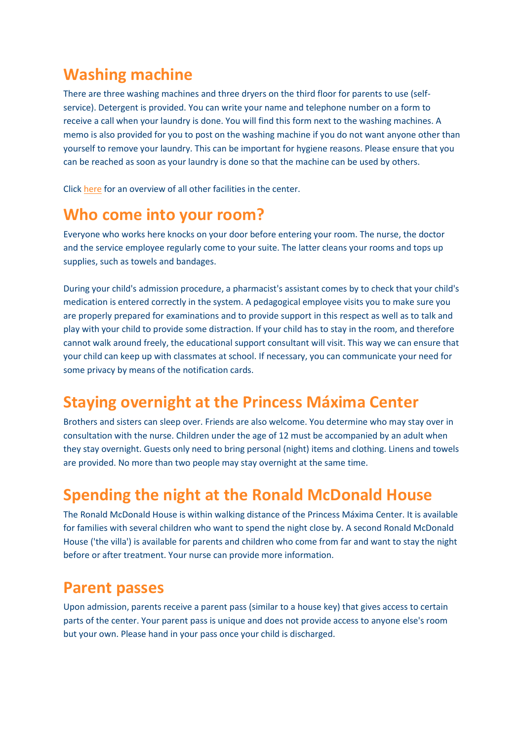#### **Washing machine**

There are three washing machines and three dryers on the third floor for parents to use (selfservice). Detergent is provided. You can write your name and telephone number on a form to receive a call when your laundry is done. You will find this form next to the washing machines. A memo is also provided for you to post on the washing machine if you do not want anyone other than yourself to remove your laundry. This can be important for hygiene reasons. Please ensure that you can be reached as soon as your laundry is done so that the machine can be used by others.

Click [here](https://zorg.prinsesmaximacentrum.nl/en/practical-information/services) for an overview of all other facilities in the center.

#### **[Who come into your room?](https://zorg.prinsesmaximacentrum.nl/en/welcome-to-the-princess-maxima-center/parent-and-child-room#collapse1848)**

Everyone who works here knocks on your door before entering your room. The nurse, the doctor and the service employee regularly come to your suite. The latter cleans your rooms and tops up supplies, such as towels and bandages.

During your child's admission procedure, a pharmacist's assistant comes by to check that your child's medication is entered correctly in the system. A pedagogical employee visits you to make sure you are properly prepared for examinations and to provide support in this respect as well as to talk and play with your child to provide some distraction. If your child has to stay in the room, and therefore cannot walk around freely, the educational support consultant will visit. This way we can ensure that your child can keep up with classmates at school. If necessary, you can communicate your need for some privacy by means of the notification cards.

#### **Staying overnight at the Princess Máxima Center**

Brothers and sisters can sleep over. Friends are also welcome. You determine who may stay over in consultation with the nurse. Children under the age of 12 must be accompanied by an adult when they stay overnight. Guests only need to bring personal (night) items and clothing. Linens and towels are provided. No more than two people may stay overnight at the same time.

### **Spending the night at the Ronald McDonald House**

The Ronald McDonald House is within walking distance of the Princess Máxima Center. It is available for families with several children who want to spend the night close by. A second Ronald McDonald House ('the villa') is available for parents and children who come from far and want to stay the night before or after treatment. Your nurse can provide more information.

#### **[Parent passes](https://zorg.prinsesmaximacentrum.nl/en/welcome-to-the-princess-maxima-center/parent-and-child-room#collapse226)**

Upon admission, parents receive a parent pass (similar to a house key) that gives access to certain parts of the center. Your parent pass is unique and does not provide access to anyone else's room but your own. Please hand in your pass once your child is discharged.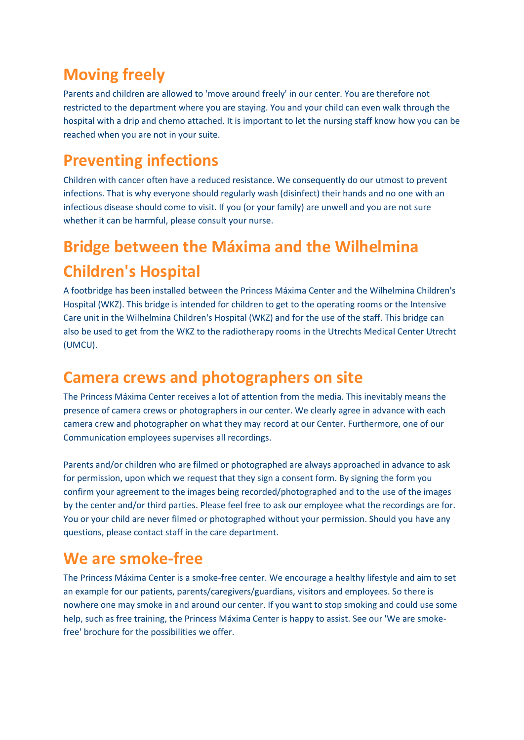### **[Moving freely](https://zorg.prinsesmaximacentrum.nl/en/welcome-to-the-princess-maxima-center/parent-and-child-room#collapse1536)**

Parents and children are allowed to 'move around freely' in our center. You are therefore not restricted to the department where you are staying. You and your child can even walk through the hospital with a drip and chemo attached. It is important to let the nursing staff know how you can be reached when you are not in your suite.

### **[Preventing infections](https://zorg.prinsesmaximacentrum.nl/en/welcome-to-the-princess-maxima-center/parent-and-child-room#collapse2006)**

Children with cancer often have a reduced resistance. We consequently do our utmost to prevent infections. That is why everyone should regularly wash (disinfect) their hands and no one with an infectious disease should come to visit. If you (or your family) are unwell and you are not sure whether it can be harmful, please consult your nurse.

## **[Bridge between the Máxima and the Wilhelmina](https://zorg.prinsesmaximacentrum.nl/en/welcome-to-the-princess-maxima-center/parent-and-child-room#collapse1149)  [Children's Hospital](https://zorg.prinsesmaximacentrum.nl/en/welcome-to-the-princess-maxima-center/parent-and-child-room#collapse1149)**

A footbridge has been installed between the Princess Máxima Center and the Wilhelmina Children's Hospital (WKZ). This bridge is intended for children to get to the operating rooms or the Intensive Care unit in the Wilhelmina Children's Hospital (WKZ) and for the use of the staff. This bridge can also be used to get from the WKZ to the radiotherapy rooms in the Utrechts Medical Center Utrecht (UMCU).

#### **[Camera crews and photographers on site](https://zorg.prinsesmaximacentrum.nl/en/welcome-to-the-princess-maxima-center/parent-and-child-room#collapse212)**

The Princess Máxima Center receives a lot of attention from the media. This inevitably means the presence of camera crews or photographers in our center. We clearly agree in advance with each camera crew and photographer on what they may record at our Center. Furthermore, one of our Communication employees supervises all recordings.

Parents and/or children who are filmed or photographed are always approached in advance to ask for permission, upon which we request that they sign a consent form. By signing the form you confirm your agreement to the images being recorded/photographed and to the use of the images by the center and/or third parties. Please feel free to ask our employee what the recordings are for. You or your child are never filmed or photographed without your permission. Should you have any questions, please contact staff in the care department.

#### **[We are smoke-free](https://zorg.prinsesmaximacentrum.nl/en/welcome-to-the-princess-maxima-center/parent-and-child-room#collapse1274)**

The Princess Máxima Center is a smoke-free center. We encourage a healthy lifestyle and aim to set an example for our patients, parents/caregivers/guardians, visitors and employees. So there is nowhere one may smoke in and around our center. If you want to stop smoking and could use some help, such as free training, the Princess Máxima Center is happy to assist. See our 'We are smokefree' brochure for the possibilities we offer.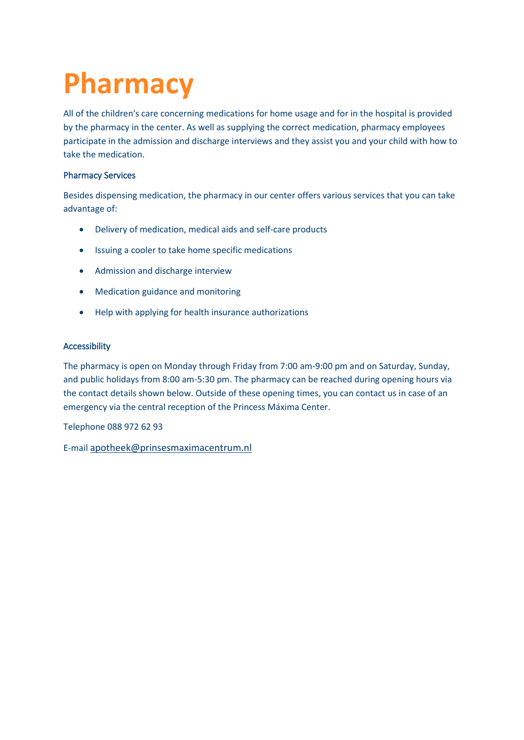## **Pharmacy**

All of the children's care concerning medications for home usage and for in the hospital is provided by the pharmacy in the center. As well as supplying the correct medication, pharmacy employees participate in the admission and discharge interviews and they assist you and your child with how to take the medication.

#### Pharmacy Services

Besides dispensing medication, the pharmacy in our center offers various services that you can take advantage of:

- Delivery of medication, medical aids and self-care products
- Issuing a cooler to take home specific medications
- Admission and discharge interview
- Medication guidance and monitoring
- Help with applying for health insurance authorizations

#### Accessibility

The pharmacy is open on Monday through Friday from 7:00 am-9:00 pm and on Saturday, Sunday, and public holidays from 8:00 am-5:30 pm. The pharmacy can be reached during opening hours via the contact details shown below. Outside of these opening times, you can contact us in case of an emergency via the central reception of the Princess Máxima Center.

Telephone 088 972 62 93

E-mail [apotheek@prinsesmaximacentrum.nl](mailto:apotheek@prinsesmaximacentrum.nl)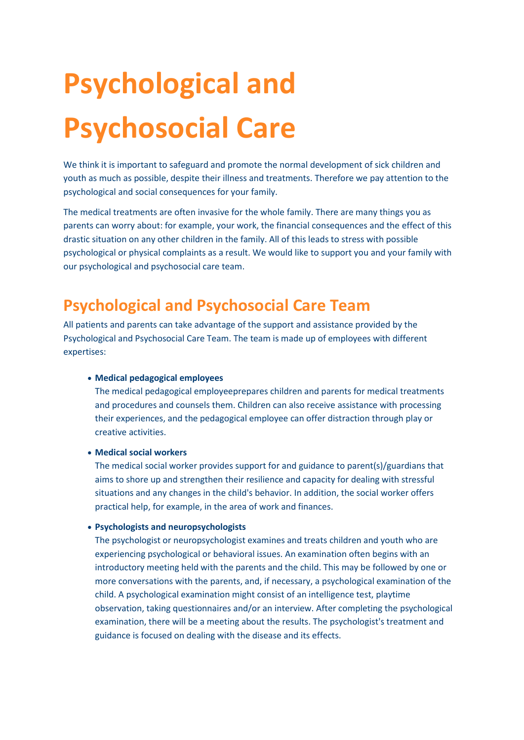# **Psychological and Psychosocial Care**

We think it is important to safeguard and promote the normal development of sick children and youth as much as possible, despite their illness and treatments. Therefore we pay attention to the psychological and social consequences for your family.

The medical treatments are often invasive for the whole family. There are many things you as parents can worry about: for example, your work, the financial consequences and the effect of this drastic situation on any other children in the family. All of this leads to stress with possible psychological or physical complaints as a result. We would like to support you and your family with our psychological and psychosocial care team.

#### **Psychological and Psychosocial Care Team**

All patients and parents can take advantage of the support and assistance provided by the Psychological and Psychosocial Care Team. The team is made up of employees with different expertises:

#### • **Medical pedagogical employees**

The medical pedagogical employeeprepares children and parents for medical treatments and procedures and counsels them. Children can also receive assistance with processing their experiences, and the pedagogical employee can offer distraction through play or creative activities.

#### • **Medical social workers**

The medical social worker provides support for and guidance to parent(s)/guardians that aims to shore up and strengthen their resilience and capacity for dealing with stressful situations and any changes in the child's behavior. In addition, the social worker offers practical help, for example, in the area of work and finances.

#### • **Psychologists and neuropsychologists**

The psychologist or neuropsychologist examines and treats children and youth who are experiencing psychological or behavioral issues. An examination often begins with an introductory meeting held with the parents and the child. This may be followed by one or more conversations with the parents, and, if necessary, a psychological examination of the child. A psychological examination might consist of an intelligence test, playtime observation, taking questionnaires and/or an interview. After completing the psychological examination, there will be a meeting about the results. The psychologist's treatment and guidance is focused on dealing with the disease and its effects.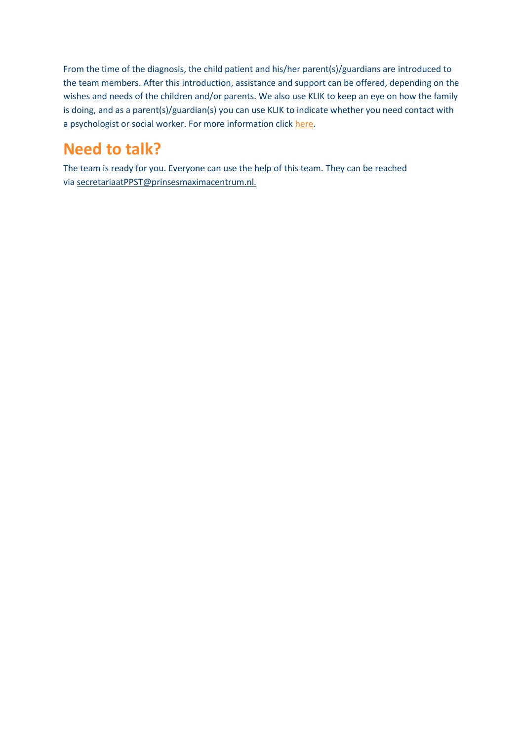From the time of the diagnosis, the child patient and his/her parent(s)/guardians are introduced to the team members. After this introduction, assistance and support can be offered, depending on the wishes and needs of the children and/or parents. We also use KLIK to keep an eye on how the family is doing, and as a parent(s)/guardian(s) you can use KLIK to indicate whether you need contact with a psychologist or social worker. For more information click [here.](https://zorg.prinsesmaximacentrum.nl/en/klik-portal)

## **Need to talk?**

The team is ready for you. Everyone can use the help of this team. They can be reached via [secretariaatPPST@prinsesmaximacentrum.nl](mailto:secretariaatPPST@prinsesmaximacentrum.nl).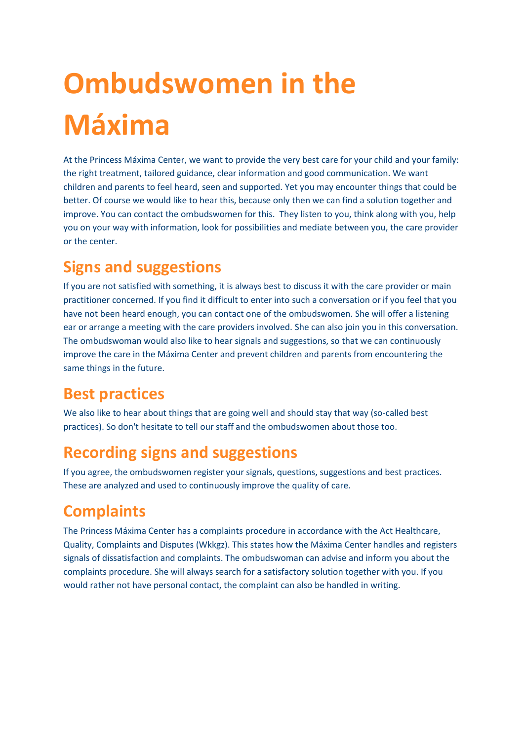# **Ombudswomen in the Máxima**

At the Princess Máxima Center, we want to provide the very best care for your child and your family: the right treatment, tailored guidance, clear information and good communication. We want children and parents to feel heard, seen and supported. Yet you may encounter things that could be better. Of course we would like to hear this, because only then we can find a solution together and improve. You can contact the ombudswomen for this. They listen to you, think along with you, help you on your way with information, look for possibilities and mediate between you, the care provider or the center.

#### **Signs and suggestions**

If you are not satisfied with something, it is always best to discuss it with the care provider or main practitioner concerned. If you find it difficult to enter into such a conversation or if you feel that you have not been heard enough, you can contact one of the ombudswomen. She will offer a listening ear or arrange a meeting with the care providers involved. She can also join you in this conversation. The ombudswoman would also like to hear signals and suggestions, so that we can continuously improve the care in the Máxima Center and prevent children and parents from encountering the same things in the future.

### **Best practices**

We also like to hear about things that are going well and should stay that way (so-called best practices). So don't hesitate to tell our staff and the ombudswomen about those too.

### **Recording signs and suggestions**

If you agree, the ombudswomen register your signals, questions, suggestions and best practices. These are analyzed and used to continuously improve the quality of care.

## **Complaints**

The Princess Máxima Center has a complaints procedure in accordance with the Act Healthcare, Quality, Complaints and Disputes (Wkkgz). This states how the Máxima Center handles and registers signals of dissatisfaction and complaints. The ombudswoman can advise and inform you about the complaints procedure. She will always search for a satisfactory solution together with you. If you would rather not have personal contact, the complaint can also be handled in writing.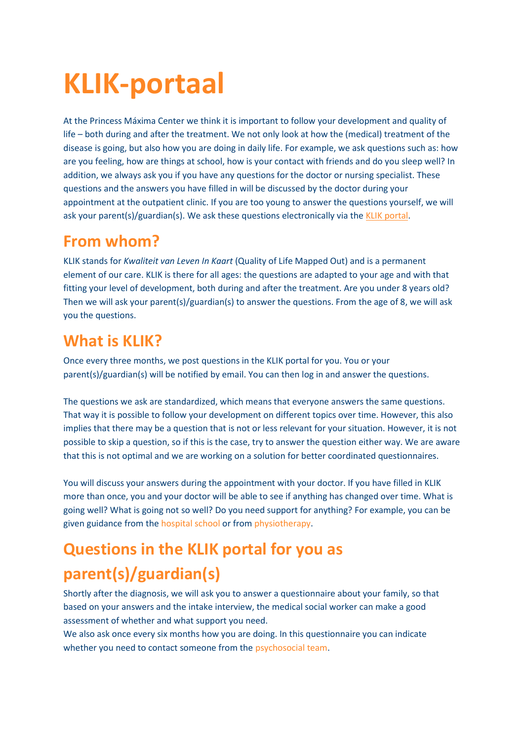## **KLIK-portaal**

At the Princess Máxima Center we think it is important to follow your development and quality of life – both during and after the treatment. We not only look at how the (medical) treatment of the disease is going, but also how you are doing in daily life. For example, we ask questions such as: how are you feeling, how are things at school, how is your contact with friends and do you sleep well? In addition, we always ask you if you have any questions for the doctor or nursing specialist. These questions and the answers you have filled in will be discussed by the doctor during your appointment at the outpatient clinic. If you are too young to answer the questions yourself, we will ask your parent(s)/guardian(s). We ask these questions electronically via th[e KLIK portal.](http://www.hetklikt.nu/)

#### **From whom?**

KLIK stands for *Kwaliteit van Leven In Kaart* (Quality of Life Mapped Out) and is a permanent element of our care. KLIK is there for all ages: the questions are adapted to your age and with that fitting your level of development, both during and after the treatment. Are you under 8 years old? Then we will ask your parent(s)/guardian(s) to answer the questions. From the age of 8, we will ask you the questions.

### **What is KLIK?**

Once every three months, we post questions in the KLIK portal for you. You or your parent(s)/guardian(s) will be notified by email. You can then log in and answer the questions.

The questions we ask are standardized, which means that everyone answers the same questions. That way it is possible to follow your development on different topics over time. However, this also implies that there may be a question that is not or less relevant for your situation. However, it is not possible to skip a question, so if this is the case, try to answer the question either way. We are aware that this is not optimal and we are working on a solution for better coordinated questionnaires.

You will discuss your answers during the appointment with your doctor. If you have filled in KLIK more than once, you and your doctor will be able to see if anything has changed over time. What is going well? What is going not so well? Do you need support for anything? For example, you can be given guidance from the [hospital school](https://zorg.prinsesmaximacentrum.nl/nl/praktische-informatie/voorzieningen/de-school) or from [physiotherapy.](https://zorg.prinsesmaximacentrum.nl/nl/afdelingen/ondersteunende-afdelingen/fysiotherapie)

## **Questions in the KLIK portal for you as parent(s)/guardian(s)**

Shortly after the diagnosis, we will ask you to answer a questionnaire about your family, so that based on your answers and the intake interview, the medical social worker can make a good assessment of whether and what support you need.

We also ask once every six months how you are doing. In this questionnaire you can indicate whether you need to contact someone from the [psychosocial team.](https://zorg.prinsesmaximacentrum.nl/nl/afdelingen/ondersteunende-afdelingen/psychologische-en-psychosociale-zorg)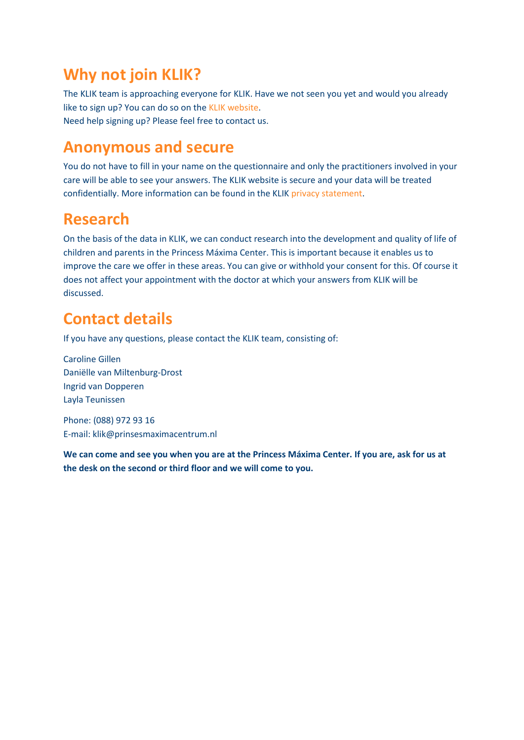#### **Why not join KLIK?**

The KLIK team is approaching everyone for KLIK. Have we not seen you yet and would you already like to sign up? You can do so on the [KLIK website.](http://www.hetklikt.nu/) Need help signing up? Please feel free to contact us.

#### **Anonymous and secure**

You do not have to fill in your name on the questionnaire and only the practitioners involved in your care will be able to see your answers. The KLIK website is secure and your data will be treated confidentially. More information can be found in the KLIK [privacy statement.](https://www.hetklikt.nu/privacy.php)

#### **Research**

On the basis of the data in KLIK, we can conduct research into the development and quality of life of children and parents in the Princess Máxima Center. This is important because it enables us to improve the care we offer in these areas. You can give or withhold your consent for this. Of course it does not affect your appointment with the doctor at which your answers from KLIK will be discussed.

### **Contact details**

If you have any questions, please contact the KLIK team, consisting of:

Caroline Gillen Daniëlle van Miltenburg-Drost Ingrid van Dopperen Layla Teunissen

Phone: (088) 972 93 16 E-mail: [klik@prinsesmaximacentrum.nl](mailto:klik@prinsesmaximacentrum.nl)

**We can come and see you when you are at the Princess Máxima Center. If you are, ask for us at the desk on the second or third floor and we will come to you.**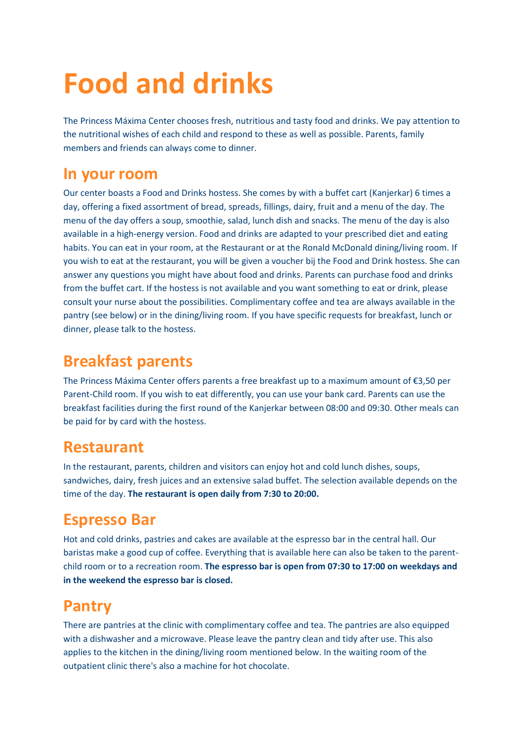## **Food and drinks**

The Princess Máxima Center chooses fresh, nutritious and tasty food and drinks. We pay attention to the nutritional wishes of each child and respond to these as well as possible. Parents, family members and friends can always come to dinner.

#### **In your room**

Our center boasts a Food and Drinks hostess. She comes by with a buffet cart (Kanjerkar) 6 times a day, offering a fixed assortment of bread, spreads, fillings, dairy, fruit and a menu of the day. The menu of the day offers a soup, smoothie, salad, lunch dish and snacks. The menu of the day is also available in a high-energy version. Food and drinks are adapted to your prescribed diet and eating habits. You can eat in your room, at the Restaurant or at the Ronald McDonald dining/living room. If you wish to eat at the restaurant, you will be given a voucher bij the Food and Drink hostess. She can answer any questions you might have about food and drinks. Parents can purchase food and drinks from the buffet cart. If the hostess is not available and you want something to eat or drink, please consult your nurse about the possibilities. Complimentary coffee and tea are always available in the pantry (see below) or in the dining/living room. If you have specific requests for breakfast, lunch or dinner, please talk to the hostess.

#### **Breakfast parents**

The Princess Máxima Center offers parents a free breakfast up to a maximum amount of €3,50 per Parent-Child room. If you wish to eat differently, you can use your bank card. Parents can use the breakfast facilities during the first round of the Kanjerkar between 08:00 and 09:30. Other meals can be paid for by card with the hostess.

#### **Restaurant**

In the restaurant, parents, children and visitors can enjoy hot and cold lunch dishes, soups, sandwiches, dairy, fresh juices and an extensive salad buffet. The selection available depends on the time of the day. **The restaurant is open daily from 7:30 to 20:00.**

## **Espresso Bar**

Hot and cold drinks, pastries and cakes are available at the espresso bar in the central hall. Our baristas make a good cup of coffee. Everything that is available here can also be taken to the parentchild room or to a recreation room. **The espresso bar is open from 07:30 to 17:00 on weekdays and in the weekend the espresso bar is closed.**

#### **Pantry**

There are pantries at the clinic with complimentary coffee and tea. The pantries are also equipped with a dishwasher and a microwave. Please leave the pantry clean and tidy after use. This also applies to the kitchen in the dining/living room mentioned below. In the waiting room of the outpatient clinic there's also a machine for hot chocolate.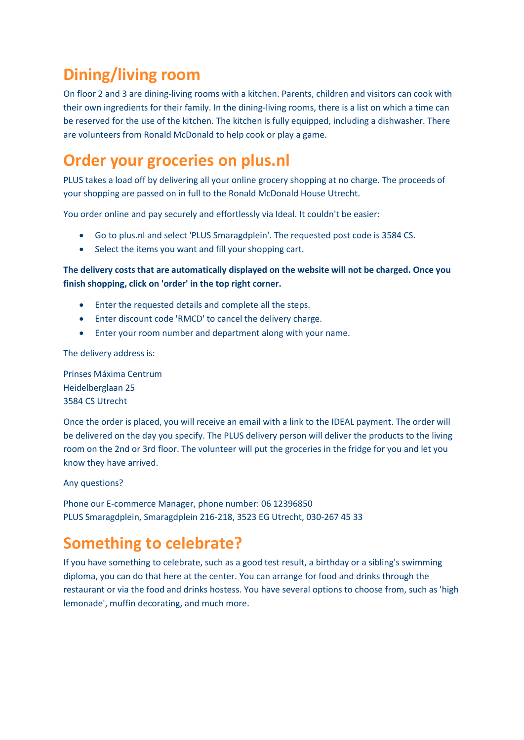### **Dining/living room**

On floor 2 and 3 are dining-living rooms with a kitchen. Parents, children and visitors can cook with their own ingredients for their family. In the dining-living rooms, there is a list on which a time can be reserved for the use of the kitchen. The kitchen is fully equipped, including a dishwasher. There are volunteers from Ronald McDonald to help cook or play a game.

#### **Order your groceries on plus.nl**

PLUS takes a load off by delivering all your online grocery shopping at no charge. The proceeds of your shopping are passed on in full to the Ronald McDonald House Utrecht.

You order online and pay securely and effortlessly via Ideal. It couldn't be easier:

- Go to plus.nl and select 'PLUS Smaragdplein'. The requested post code is 3584 CS.
- Select the items you want and fill your shopping cart.

#### **The delivery costs that are automatically displayed on the website will not be charged. Once you finish shopping, click on 'order' in the top right corner.**

- Enter the requested details and complete all the steps.
- Enter discount code 'RMCD' to cancel the delivery charge.
- Enter your room number and department along with your name.

The delivery address is:

Prinses Máxima Centrum Heidelberglaan 25 3584 CS Utrecht

Once the order is placed, you will receive an email with a link to the IDEAL payment. The order will be delivered on the day you specify. The PLUS delivery person will deliver the products to the living room on the 2nd or 3rd floor. The volunteer will put the groceries in the fridge for you and let you know they have arrived.

Any questions?

Phone our E-commerce Manager, phone number: 06 12396850 PLUS Smaragdplein, Smaragdplein 216-218, 3523 EG Utrecht, 030-267 45 33

### **Something to celebrate?**

If you have something to celebrate, such as a good test result, a birthday or a sibling's swimming diploma, you can do that here at the center. You can arrange for food and drinks through the restaurant or via the food and drinks hostess. You have several options to choose from, such as 'high lemonade', muffin decorating, and much more.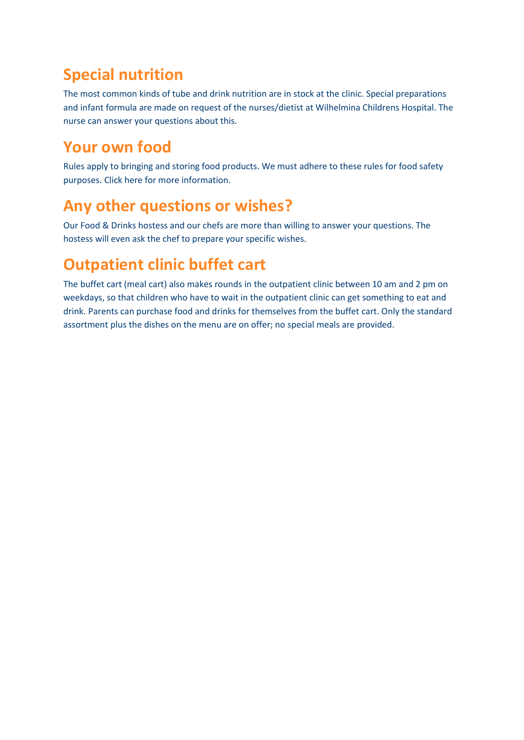#### **Special nutrition**

The most common kinds of tube and drink nutrition are in stock at the clinic. Special preparations and infant formula are made on request of the nurses/dietist at Wilhelmina Childrens Hospital. The nurse can answer your questions about this.

#### **Your own food**

Rules apply to bringing and storing food products. We must adhere to these rules for food safety purposes. Click here for more information.

#### **Any other questions or wishes?**

Our Food & Drinks hostess and our chefs are more than willing to answer your questions. The hostess will even ask the chef to prepare your specific wishes.

#### **Outpatient clinic buffet cart**

The buffet cart (meal cart) also makes rounds in the outpatient clinic between 10 am and 2 pm on weekdays, so that children who have to wait in the outpatient clinic can get something to eat and drink. Parents can purchase food and drinks for themselves from the buffet cart. Only the standard assortment plus the dishes on the menu are on offer; no special meals are provided.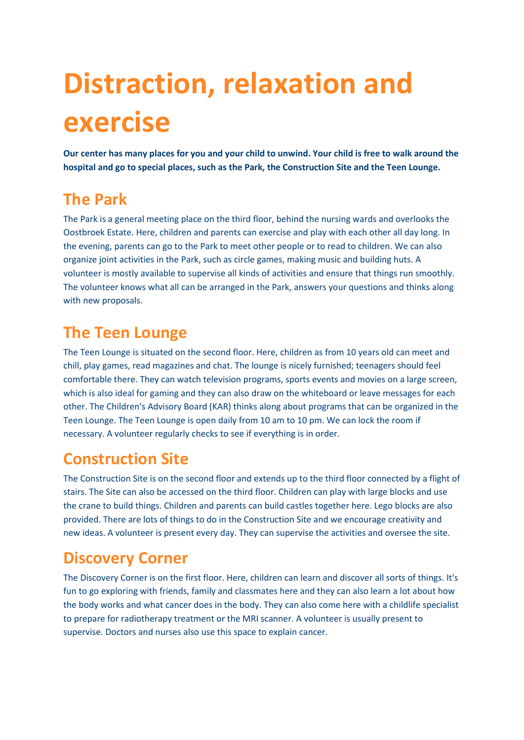## **Distraction, relaxation and exercise**

**Our center has many places for you and your child to unwind. Your child is free to walk around the hospital and go to special places, such as the Park, the Construction Site and the Teen Lounge.**

#### **The Park**

The Park is a general meeting place on the third floor, behind the nursing wards and overlooks the Oostbroek Estate. Here, children and parents can exercise and play with each other all day long. In the evening, parents can go to the Park to meet other people or to read to children. We can also organize joint activities in the Park, such as circle games, making music and building huts. A volunteer is mostly available to supervise all kinds of activities and ensure that things run smoothly. The volunteer knows what all can be arranged in the Park, answers your questions and thinks along with new proposals.

#### **The Teen Lounge**

The Teen Lounge is situated on the second floor. Here, children as from 10 years old can meet and chill, play games, read magazines and chat. The lounge is nicely furnished; teenagers should feel comfortable there. They can watch television programs, sports events and movies on a large screen, which is also ideal for gaming and they can also draw on the whiteboard or leave messages for each other. The Children's Advisory Board (KAR) thinks along about programs that can be organized in the Teen Lounge. The Teen Lounge is open daily from 10 am to 10 pm. We can lock the room if necessary. A volunteer regularly checks to see if everything is in order.

## **Construction Site**

The Construction Site is on the second floor and extends up to the third floor connected by a flight of stairs. The Site can also be accessed on the third floor. Children can play with large blocks and use the crane to build things. Children and parents can build castles together here. Lego blocks are also provided. There are lots of things to do in the Construction Site and we encourage creativity and new ideas. A volunteer is present every day. They can supervise the activities and oversee the site.

### **Discovery Corner**

The Discovery Corner is on the first floor. Here, children can learn and discover all sorts of things. It's fun to go exploring with friends, family and classmates here and they can also learn a lot about how the body works and what cancer does in the body. They can also come here with a childlife specialist to prepare for radiotherapy treatment or the MRI scanner. A volunteer is usually present to supervise. Doctors and nurses also use this space to explain cancer.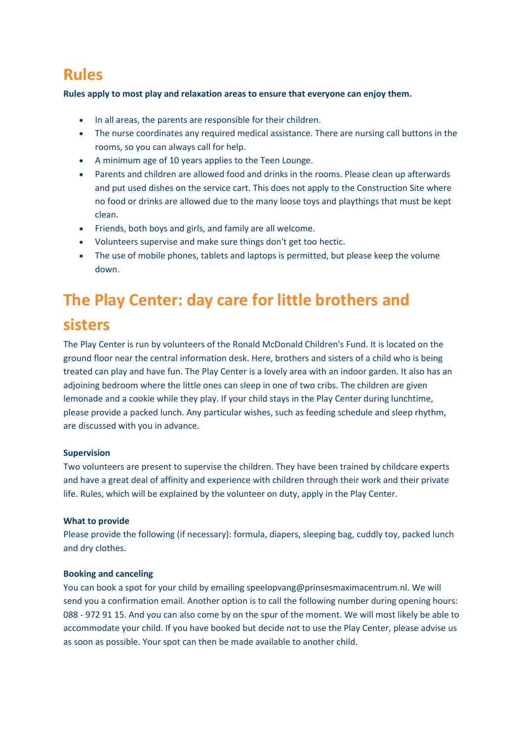#### **Rules**

**Rules apply to most play and relaxation areas to ensure that everyone can enjoy them.**

- In all areas, the parents are responsible for their children.
- The nurse coordinates any required medical assistance. There are nursing call buttons in the rooms, so you can always call for help.
- A minimum age of 10 years applies to the Teen Lounge.
- Parents and children are allowed food and drinks in the rooms. Please clean up afterwards and put used dishes on the service cart. This does not apply to the Construction Site where no food or drinks are allowed due to the many loose toys and playthings that must be kept clean.
- Friends, both boys and girls, and family are all welcome.
- Volunteers supervise and make sure things don't get too hectic.
- The use of mobile phones, tablets and laptops is permitted, but please keep the volume down.

## **The Play Center: day care for little brothers and**

#### **sisters**

The Play Center is run by volunteers of the Ronald McDonald Children's Fund. It is located on the ground floor near the central information desk. Here, brothers and sisters of a child who is being treated can play and have fun. The Play Center is a lovely area with an indoor garden. It also has an adjoining bedroom where the little ones can sleep in one of two cribs. The children are given lemonade and a cookie while they play. If your child stays in the Play Center during lunchtime, please provide a packed lunch. Any particular wishes, such as feeding schedule and sleep rhythm, are discussed with you in advance.

#### **Supervision**

Two volunteers are present to supervise the children. They have been trained by childcare experts and have a great deal of affinity and experience with children through their work and their private life. Rules, which will be explained by the volunteer on duty, apply in the Play Center.

#### **What to provide**

Please provide the following (if necessary): formula, diapers, sleeping bag, cuddly toy, packed lunch and dry clothes.

#### **Booking and canceling**

You can book a spot for your child by emailing speelopvang@prinsesmaximacentrum.nl. We will send you a confirmation email. Another option is to call the following number during opening hours: 088 - 972 91 15. And you can also come by on the spur of the moment. We will most likely be able to accommodate your child. If you have booked but decide not to use the Play Center, please advise us as soon as possible. Your spot can then be made available to another child.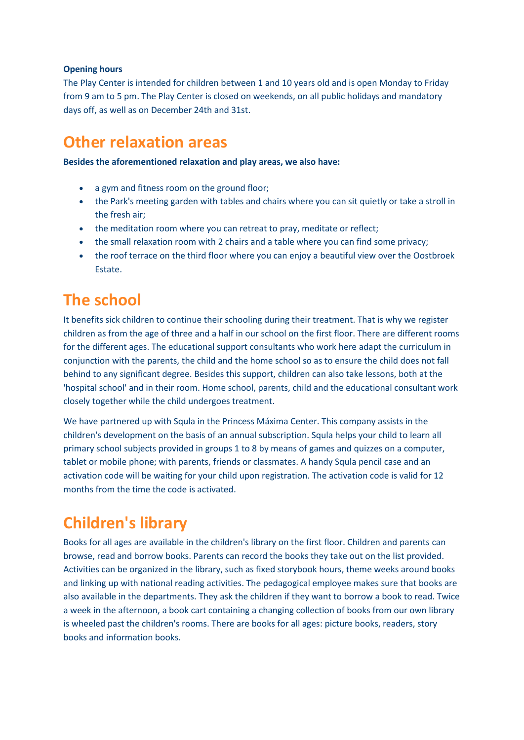#### **Opening hours**

The Play Center is intended for children between 1 and 10 years old and is open Monday to Friday from 9 am to 5 pm. The Play Center is closed on weekends, on all public holidays and mandatory days off, as well as on December 24th and 31st.

#### **Other relaxation areas**

**Besides the aforementioned relaxation and play areas, we also have:**

- a gym and fitness room on the ground floor;
- the Park's meeting garden with tables and chairs where you can sit quietly or take a stroll in the fresh air;
- the meditation room where you can retreat to pray, meditate or reflect;
- the small relaxation room with 2 chairs and a table where you can find some privacy;
- the roof terrace on the third floor where you can enjoy a beautiful view over the Oostbroek Estate.

#### **The school**

It benefits sick children to continue their schooling during their treatment. That is why we register children as from the age of three and a half in our school on the first floor. There are different rooms for the different ages. The educational support consultants who work here adapt the curriculum in conjunction with the parents, the child and the home school so as to ensure the child does not fall behind to any significant degree. Besides this support, children can also take lessons, both at the 'hospital school' and in their room. Home school, parents, child and the educational consultant work closely together while the child undergoes treatment.

We have partnered up with Squla in the Princess Máxima Center. This company assists in the children's development on the basis of an annual subscription. Squla helps your child to learn all primary school subjects provided in groups 1 to 8 by means of games and quizzes on a computer, tablet or mobile phone; with parents, friends or classmates. A handy Squla pencil case and an activation code will be waiting for your child upon registration. The activation code is valid for 12 months from the time the code is activated.

## **Children's library**

Books for all ages are available in the children's library on the first floor. Children and parents can browse, read and borrow books. Parents can record the books they take out on the list provided. Activities can be organized in the library, such as fixed storybook hours, theme weeks around books and linking up with national reading activities. The pedagogical employee makes sure that books are also available in the departments. They ask the children if they want to borrow a book to read. Twice a week in the afternoon, a book cart containing a changing collection of books from our own library is wheeled past the children's rooms. There are books for all ages: picture books, readers, story books and information books.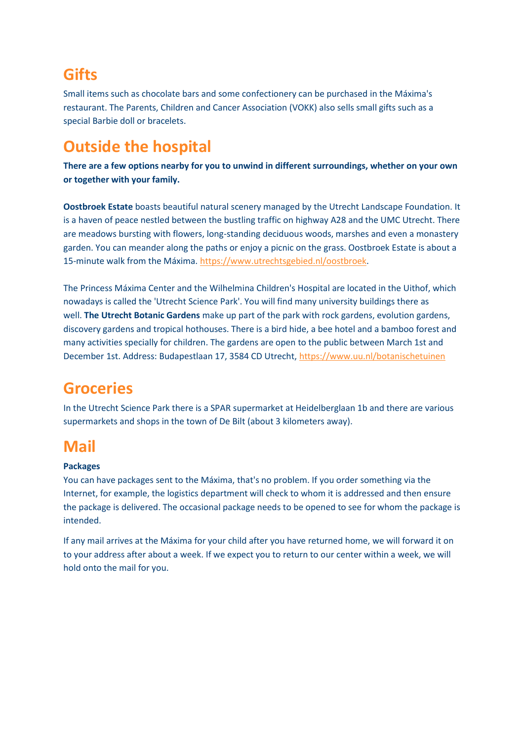#### **Gifts**

Small items such as chocolate bars and some confectionery can be purchased in the Máxima's restaurant. The Parents, Children and Cancer Association (VOKK) also sells small gifts such as a special Barbie doll or bracelets.

### **Outside the hospital**

**There are a few options nearby for you to unwind in different surroundings, whether on your own or together with your family.**

**Oostbroek Estate** boasts beautiful natural scenery managed by the Utrecht Landscape Foundation. It is a haven of peace nestled between the bustling traffic on highway A28 and the UMC Utrecht. There are meadows bursting with flowers, long-standing deciduous woods, marshes and even a monastery garden. You can meander along the paths or enjoy a picnic on the grass. Oostbroek Estate is about a 15-minute walk from the Máxima. [https://www.utrechtsgebied.nl/oostbroek.](https://www.utrechtsgebied.nl/oostbroek)

The Princess Máxima Center and the Wilhelmina Children's Hospital are located in the Uithof, which nowadays is called the 'Utrecht Science Park'. You will find many university buildings there as well. **The Utrecht Botanic Gardens** make up part of the park with rock gardens, evolution gardens, discovery gardens and tropical hothouses. There is a bird hide, a bee hotel and a bamboo forest and many activities specially for children. The gardens are open to the public between March 1st and December 1st. Address: Budapestlaan 17, 3584 CD Utrecht, <https://www.uu.nl/botanischetuinen>

## **Groceries**

In the Utrecht Science Park there is a SPAR supermarket at Heidelberglaan 1b and there are various supermarkets and shops in the town of De Bilt (about 3 kilometers away).

#### **Mail**

#### **Packages**

You can have packages sent to the Máxima, that's no problem. If you order something via the Internet, for example, the logistics department will check to whom it is addressed and then ensure the package is delivered. The occasional package needs to be opened to see for whom the package is intended.

If any mail arrives at the Máxima for your child after you have returned home, we will forward it on to your address after about a week. If we expect you to return to our center within a week, we will hold onto the mail for you.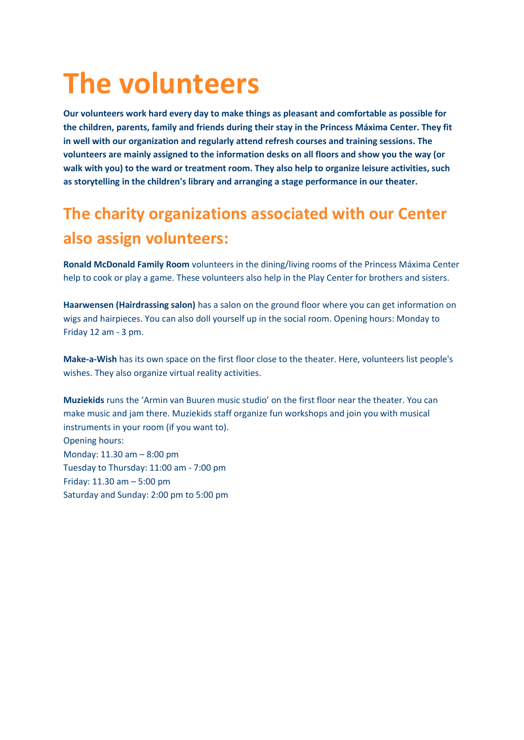## **The volunteers**

**Our volunteers work hard every day to make things as pleasant and comfortable as possible for the children, parents, family and friends during their stay in the Princess Máxima Center. They fit in well with our organization and regularly attend refresh courses and training sessions. The volunteers are mainly assigned to the information desks on all floors and show you the way (or walk with you) to the ward or treatment room. They also help to organize leisure activities, such as storytelling in the children's library and arranging a stage performance in our theater.**

## **The charity organizations associated with our Center also assign volunteers:**

**[Ronald McDonald Family Room](https://zorg.prinsesmaximacentrum.nl/en/practical-information/services/ronald-mcdonald-family-room)** volunteers in the dining/living rooms of the Princess Máxima Center help to cook or play a game. These volunteers also help in the Play Center for brothers and sisters.

**[Haarwensen \(Hairdrassing salon\)](https://zorg.prinsesmaximacentrum.nl/en/practical-information/services/hairdressing-salon-stichting-haarwensen)** has a salon on the ground floor where you can get information on wigs and hairpieces. You can also doll yourself up in the social room. Opening hours: Monday to Friday 12 am - 3 pm.

**[Make-a-Wish](https://zorg.prinsesmaximacentrum.nl/en/practical-information/services/make-a-wish)** has its own space on the first floor close to the theater. Here, volunteers list people's wishes. They also organize virtual reality activities.

**[Muziekids](https://zorg.prinsesmaximacentrum.nl/en/practical-information/services/muziekids-studio)** runs the 'Armin van Buuren music studio' on the first floor near the theater. You can make music and jam there. Muziekids staff organize fun workshops and join you with musical instruments in your room (if you want to). Opening hours: Monday: 11.30 am – 8:00 pm Tuesday to Thursday: 11:00 am - 7:00 pm Friday: 11.30 am – 5:00 pm Saturday and Sunday: 2:00 pm to 5:00 pm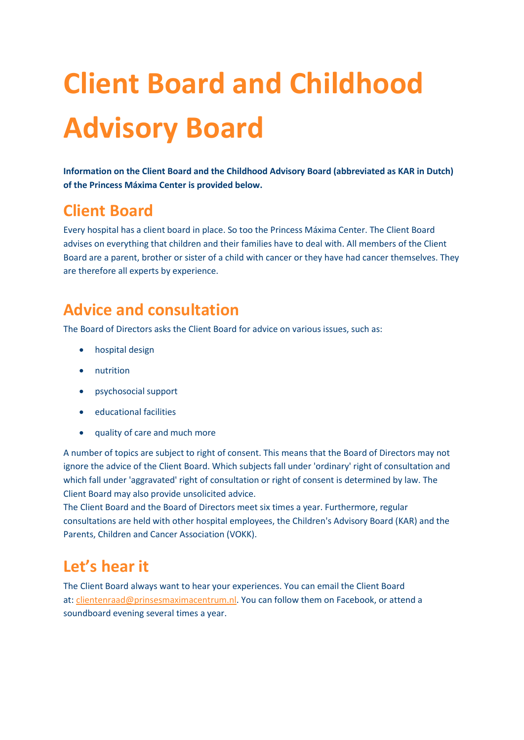# **Client Board and Childhood Advisory Board**

**Information on the Client Board and the Childhood Advisory Board (abbreviated as KAR in Dutch) of the Princess Máxima Center is provided below.**

#### **Client Board**

Every hospital has a client board in place. So too the Princess Máxima Center. The Client Board advises on everything that children and their families have to deal with. All members of the Client Board are a parent, brother or sister of a child with cancer or they have had cancer themselves. They are therefore all experts by experience.

#### **Advice and consultation**

The Board of Directors asks the Client Board for advice on various issues, such as:

- hospital design
- nutrition
- psychosocial support
- educational facilities
- quality of care and much more

A number of topics are subject to right of consent. This means that the Board of Directors may not ignore the advice of the Client Board. Which subjects fall under 'ordinary' right of consultation and which fall under 'aggravated' right of consultation or right of consent is determined by law. The Client Board may also provide unsolicited advice.

The Client Board and the Board of Directors meet six times a year. Furthermore, regular consultations are held with other hospital employees, the Children's Advisory Board (KAR) and the Parents, Children and Cancer Association (VOKK).

#### **Let's hear it**

The Client Board always want to hear your experiences. You can email the Client Board at: [clientenraad@prinsesmaximacentrum.nl.](mailto:clientenraad@prinsesmaximacentrum.nl) You can follow them on Facebook, or attend a soundboard evening several times a year.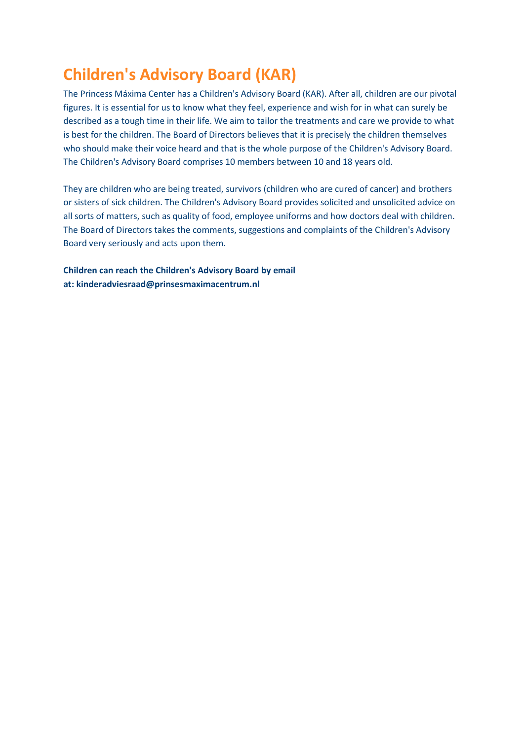### **Children's Advisory Board (KAR)**

The Princess Máxima Center has a Children's Advisory Board (KAR). After all, children are our pivotal figures. It is essential for us to know what they feel, experience and wish for in what can surely be described as a tough time in their life. We aim to tailor the treatments and care we provide to what is best for the children. The Board of Directors believes that it is precisely the children themselves who should make their voice heard and that is the whole purpose of the Children's Advisory Board. The Children's Advisory Board comprises 10 members between 10 and 18 years old.

They are children who are being treated, survivors (children who are cured of cancer) and brothers or sisters of sick children. The Children's Advisory Board provides solicited and unsolicited advice on all sorts of matters, such as quality of food, employee uniforms and how doctors deal with children. The Board of Directors takes the comments, suggestions and complaints of the Children's Advisory Board very seriously and acts upon them.

**Children can reach the Children's Advisory Board by email at: [kinderadviesraad@prinsesmaximacentrum.nl](mailto:kinderadviesraad@prinsesmaximacentrum.nl)**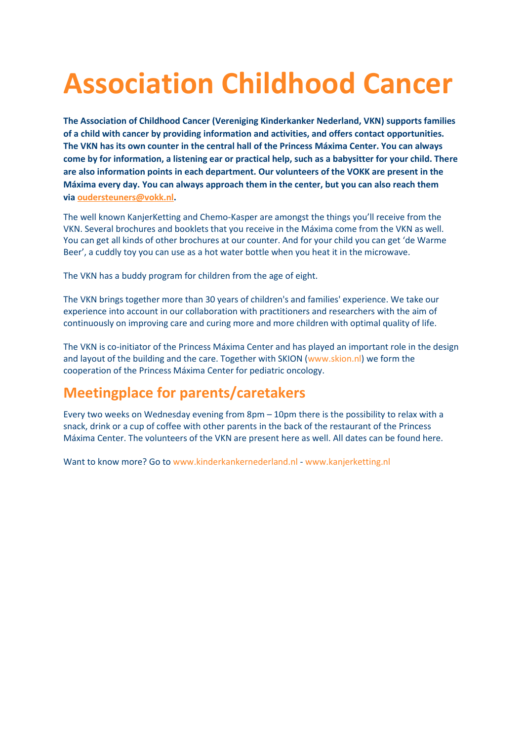## **Association Childhood Cancer**

**The Association of Childhood Cancer (Vereniging Kinderkanker Nederland, VKN) supports families of a child with cancer by providing information and activities, and offers contact opportunities. The VKN has its own counter in the central hall of the Princess Máxima Center. You can always come by for information, a listening ear or practical help, such as a babysitter for your child. There are also information points in each department. Our volunteers of the VOKK are present in the Máxima every day. You can always approach them in the center, but you can also reach them via [oudersteuners@vokk.nl.](mailto:oudersteuners@vokk.nl)**

The well known KanjerKetting and Chemo-Kasper are amongst the things you'll receive from the VKN. Several brochures and booklets that you receive in the Máxima come from the VKN as well. You can get all kinds of other brochures at our counter. And for your child you can get 'de Warme Beer', a cuddly toy you can use as a hot water bottle when you heat it in the microwave.

The VKN has a buddy program for children from the age of eight.

The VKN brings together more than 30 years of children's and families' experience. We take our experience into account in our collaboration with practitioners and researchers with the aim of continuously on improving care and curing more and more children with optimal quality of life.

The VKN is co-initiator of the Princess Máxima Center and has played an important role in the design and layout of the building and the care. Together with SKION [\(www.skion.nl\)](http://www.skion.nl/) we form the cooperation of the Princess Máxima Center for pediatric oncology.

#### **Meetingplace for parents/caretakers**

Every two weeks on Wednesday evening from 8pm – 10pm there is the possibility to relax with a snack, drink or a cup of coffee with other parents in the back of the restaurant of the Princess Máxima Center. The volunteers of the VKN are present here as well. All dates can be found here.

Want to know more? Go to [www.kinderkankernederland.nl](http://www.kinderkankernederland.nl/) - [www.kanjerketting.nl](http://www.kanjerketting.nl/)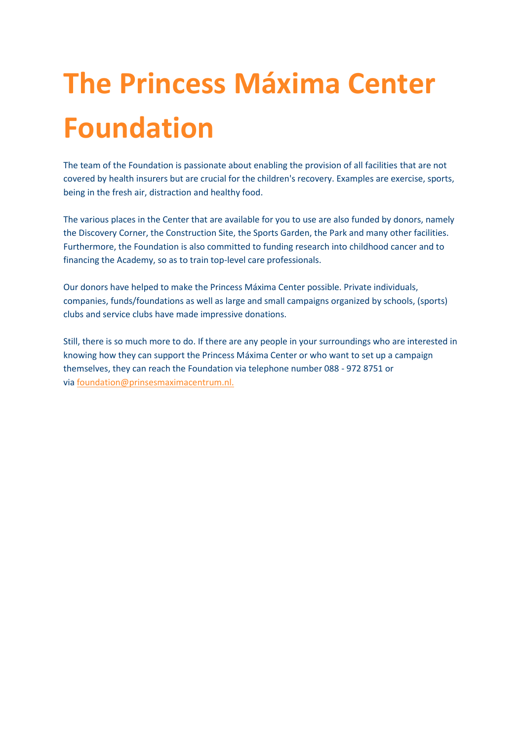# **The Princess Máxima Center Foundation**

The team of the Foundation is passionate about enabling the provision of all facilities that are not covered by health insurers but are crucial for the children's recovery. Examples are exercise, sports, being in the fresh air, distraction and healthy food.

The various places in the Center that are available for you to use are also funded by donors, namely the Discovery Corner, the Construction Site, the Sports Garden, the Park and many other facilities. Furthermore, the Foundation is also committed to funding research into childhood cancer and to financing the Academy, so as to train top-level care professionals.

Our donors have helped to make the Princess Máxima Center possible. Private individuals, companies, funds/foundations as well as large and small campaigns organized by schools, (sports) clubs and service clubs have made impressive donations.

Still, there is so much more to do. If there are any people in your surroundings who are interested in knowing how they can support the Princess Máxima Center or who want to set up a campaign themselves, they can reach the Foundation via telephone number 088 - 972 8751 or via [foundation@prinsesmaximacentrum.nl.](mailto:foundation@prinsesmaximacentrum.nl.)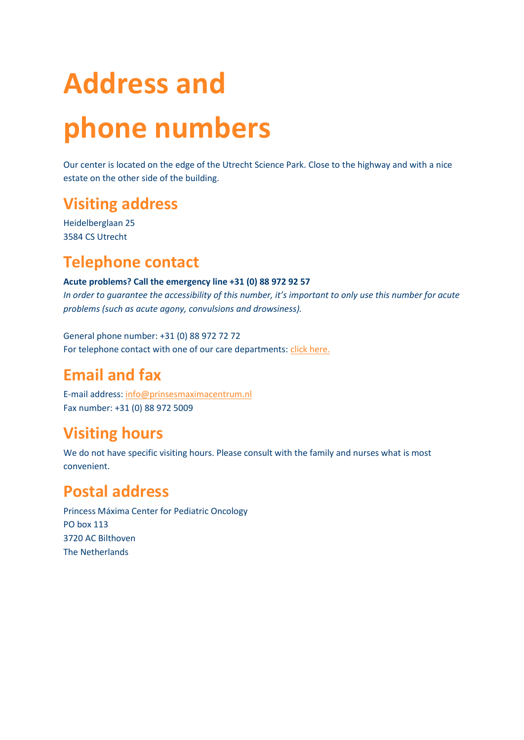# **Address and phone numbers**

Our center is located on the edge of the Utrecht Science Park. Close to the highway and with a nice estate on the other side of the building.

#### **Visiting address**

Heidelberglaan 25 3584 CS Utrecht

#### **Telephone contact**

#### **Acute problems? Call the emergency line +31 (0) 88 972 92 57**

*In order to guarantee the accessibility of this number, it's important to only use this number for acute problems (such as acute agony, convulsions and drowsiness).*

General phone number: +31 (0) 88 972 72 72 For telephone contact with one of our care departments: [click here.](https://zorg.prinsesmaximacentrum.nl/nl/telefonisch-contact)

### **Email and fax**

E-mail address: [info@prinsesmaximacentrum.nl](mailto:info@prinsesmaximacentrum.nl) Fax number: +31 (0) 88 972 5009

### **Visiting hours**

We do not have specific visiting hours. Please consult with the family and nurses what is most convenient.

### **Postal address**

Princess Máxima Center for Pediatric Oncology PO box 113 3720 AC Bilthoven The Netherlands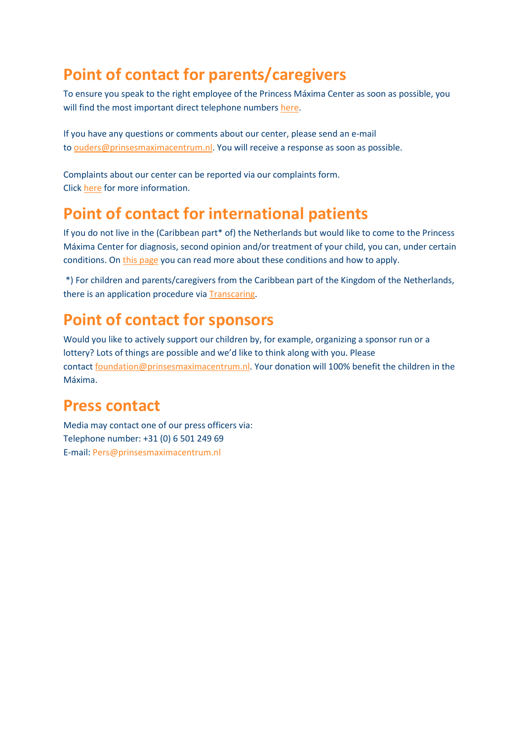### **[Point of contact for parents/caregivers](https://zorg.prinsesmaximacentrum.nl/en/contact-route#collapse123)**

To ensure you speak to the right employee of the Princess Máxima Center as soon as possible, you will find the most important direct telephone numbers [here.](https://zorg.prinsesmaximacentrum.nl/nl/telefonisch-contact)

If you have any questions or comments about our center, please send an e-mail to [ouders@prinsesmaximacentrum.nl.](mailto:ouders@prinsesmaximacentrum.nl) You will receive a response as soon as possible.

Complaints about our center can be reported via our complaints form. Click [here](https://www.prinsesmaximacentrum.nl/en/about-us/rights-and-responsibilities) for more information.

#### **[Point of contact for international patients](https://zorg.prinsesmaximacentrum.nl/en/contact-route#collapse143)**

If you do not live in the (Caribbean part\* of) the Netherlands but would like to come to the Princess Máxima Center for diagnosis, second opinion and/or treatment of your child, you can, under certain conditions. On [this page](https://zorg.prinsesmaximacentrum.nl/en/point-of-contact-for-international-patients) you can read more about these conditions and how to apply.

\*) For children and parents/caregivers from the Caribbean part of the Kingdom of the Netherlands, there is an application procedure via [Transcaring.](http://www.transcaring.com/)

#### **[Point of contact for sponsors](https://zorg.prinsesmaximacentrum.nl/en/contact-route#collapse1914)**

Would you like to actively support our children by, for example, organizing a sponsor run or a lottery? Lots of things are possible and we'd like to think along with you. Please contact [foundation@prinsesmaximacentrum.nl.](mailto:foundation@prinsesmaximacentrum.nl) Your donation will 100% benefit the children in the Máxima.

#### **[Press contact](https://zorg.prinsesmaximacentrum.nl/en/contact-route#collapse473)**

Media may contact one of our press officers via: Telephone number: +31 (0) 6 501 249 69 E-mail: [Pers@prinsesmaximacentrum.nl](mailto:Pers@prinsesmaximacentrum.nl)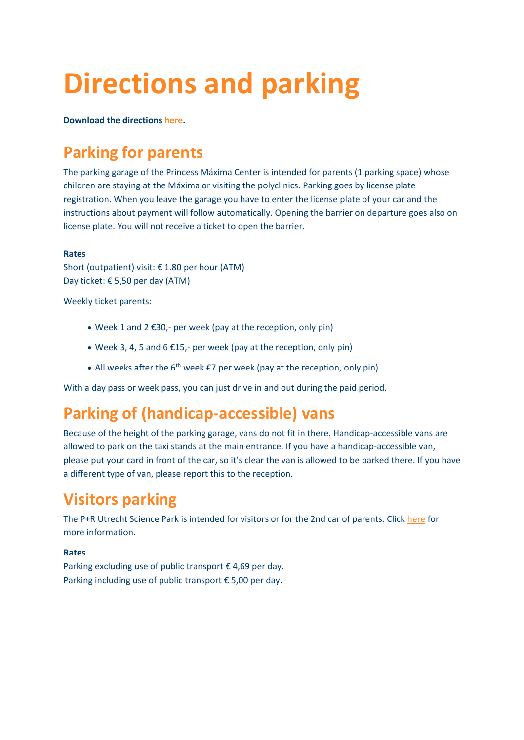## **Directions and parking**

**Download the directions [here.](https://www.prinsesmaximacentrum.nl/storage/configurations/zorgprinsesmaximacentrumnl/files/prinsesmaximacentrumroutebeschrijving_a4_eng_0811.pdf)**

## **[Parking for parents](https://zorg.prinsesmaximacentrum.nl/en/contact-route#collapse466)**

The parking garage of the Princess Máxima Center is intended for parents (1 parking space) whose children are staying at the Máxima or visiting the polyclinics. Parking goes by license plate registration. When you leave the garage you have to enter the license plate of your car and the instructions about payment will follow automatically. Opening the barrier on departure goes also on license plate. You will not receive a ticket to open the barrier.

#### **Rates**

Short (outpatient) visit: € 1.80 per hour (ATM) Day ticket: € 5,50 per day (ATM)

Weekly ticket parents:

- Week 1 and 2 €30,- per week (pay at the reception, only pin)
- Week 3, 4, 5 and 6  $£15$ ,- per week (pay at the reception, only pin)
- All weeks after the  $6^{th}$  week  $\epsilon$ 7 per week (pay at the reception, only pin)

With a day pass or week pass, you can just drive in and out during the paid period.

#### **[Parking of \(handicap-accessible\) vans](https://zorg.prinsesmaximacentrum.nl/en/contact-route#collapse93)**

Because of the height of the parking garage, vans do not fit in there. Handicap-accessible vans are allowed to park on the taxi stands at the main entrance. If you have a handicap-accessible van, please put your card in front of the car, so it's clear the van is allowed to be parked there. If you have a different type of van, please report this to the reception.

#### **[Visitors parking](https://zorg.prinsesmaximacentrum.nl/en/contact-route#collapse501)**

The P+R Utrecht Science Park is intended for visitors or for the 2nd car of parents. Click [here](https://goedopweg.nl/pr/p-r-utrecht-science-park) for more information.

#### **Rates**

Parking excluding use of public transport  $\epsilon$  4,69 per day. Parking including use of public transport € 5,00 per day.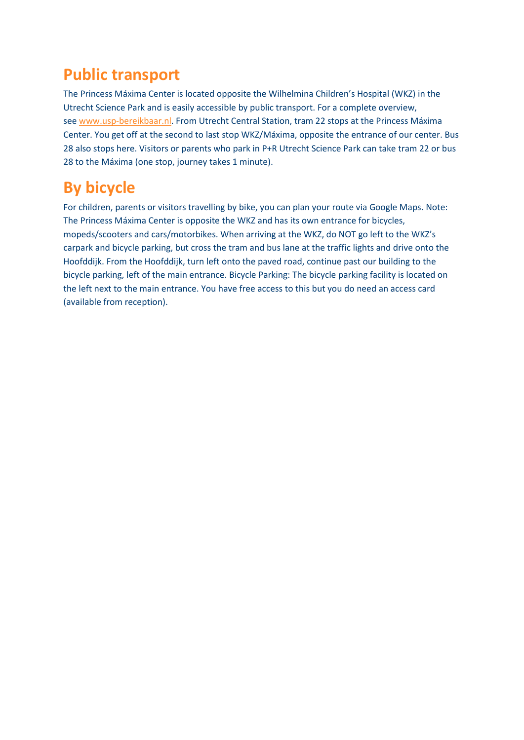#### **[Public transport](https://zorg.prinsesmaximacentrum.nl/en/contact-route#collapse150)**

The Princess Máxima Center is located opposite the Wilhelmina Children's Hospital (WKZ) in the Utrecht Science Park and is easily accessible by public transport. For a complete overview, see [www.usp-bereikbaar.nl.](http://www.usp-bereikbaar.nl/) From Utrecht Central Station, tram 22 stops at the Princess Máxima Center. You get off at the second to last stop WKZ/Máxima, opposite the entrance of our center. Bus 28 also stops here. Visitors or parents who park in P+R Utrecht Science Park can take tram 22 or bus 28 to the Máxima (one stop, journey takes 1 minute).

## **[By bicycle](https://zorg.prinsesmaximacentrum.nl/en/contact-route#collapse53)**

For children, parents or visitors travelling by bike, you can plan your route via Google Maps. Note: The Princess Máxima Center is opposite the WKZ and has its own entrance for bicycles, mopeds/scooters and cars/motorbikes. When arriving at the WKZ, do NOT go left to the WKZ's carpark and bicycle parking, but cross the tram and bus lane at the traffic lights and drive onto the Hoofddijk. From the Hoofddijk, turn left onto the paved road, continue past our building to the bicycle parking, left of the main entrance. Bicycle Parking: The bicycle parking facility is located on the left next to the main entrance. You have free access to this but you do need an access card (available from reception).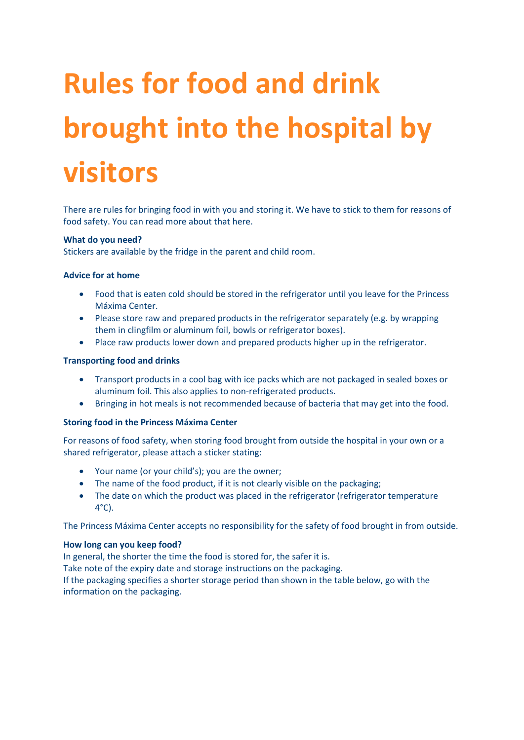# **Rules for food and drink brought into the hospital by visitors**

There are rules for bringing food in with you and storing it. We have to stick to them for reasons of food safety. You can read more about that here.

#### **What do you need?**

Stickers are available by the fridge in the parent and child room.

#### **Advice for at home**

- Food that is eaten cold should be stored in the refrigerator until you leave for the Princess Máxima Center.
- Please store raw and prepared products in the refrigerator separately (e.g. by wrapping them in clingfilm or aluminum foil, bowls or refrigerator boxes).
- Place raw products lower down and prepared products higher up in the refrigerator.

#### **Transporting food and drinks**

- Transport products in a cool bag with ice packs which are not packaged in sealed boxes or aluminum foil. This also applies to non-refrigerated products.
- Bringing in hot meals is not recommended because of bacteria that may get into the food.

#### **Storing food in the Princess Máxima Center**

For reasons of food safety, when storing food brought from outside the hospital in your own or a shared refrigerator, please attach a sticker stating:

- Your name (or your child's); you are the owner;
- The name of the food product, if it is not clearly visible on the packaging;
- The date on which the product was placed in the refrigerator (refrigerator temperature 4°C).

The Princess Máxima Center accepts no responsibility for the safety of food brought in from outside.

#### **How long can you keep food?**

In general, the shorter the time the food is stored for, the safer it is. Take note of the expiry date and storage instructions on the packaging. If the packaging specifies a shorter storage period than shown in the table below, go with the information on the packaging.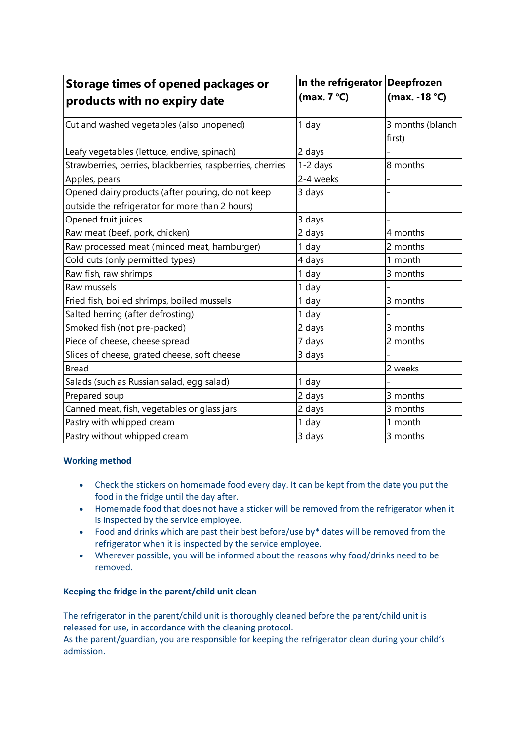| <b>Storage times of opened packages or</b>                                                           | In the refrigerator Deepfrozen |                            |
|------------------------------------------------------------------------------------------------------|--------------------------------|----------------------------|
| products with no expiry date                                                                         | (max. $7^{\circ}$ C)           | (max. -18 °C)              |
| Cut and washed vegetables (also unopened)                                                            | 1 day                          | 3 months (blanch<br>first) |
| Leafy vegetables (lettuce, endive, spinach)                                                          | 2 days                         |                            |
| Strawberries, berries, blackberries, raspberries, cherries                                           | 1-2 days                       | 8 months                   |
| Apples, pears                                                                                        | 2-4 weeks                      |                            |
| Opened dairy products (after pouring, do not keep<br>outside the refrigerator for more than 2 hours) | 3 days                         |                            |
| Opened fruit juices                                                                                  | 3 days                         |                            |
| Raw meat (beef, pork, chicken)                                                                       | 2 days                         | 4 months                   |
| Raw processed meat (minced meat, hamburger)                                                          | 1 day                          | 2 months                   |
| Cold cuts (only permitted types)                                                                     | 4 days                         | 1 month                    |
| Raw fish, raw shrimps                                                                                | 1 day                          | 3 months                   |
| Raw mussels                                                                                          | 1 day                          |                            |
| Fried fish, boiled shrimps, boiled mussels                                                           | 1 day                          | 3 months                   |
| Salted herring (after defrosting)                                                                    | 1 day                          |                            |
| Smoked fish (not pre-packed)                                                                         | 2 days                         | 3 months                   |
| Piece of cheese, cheese spread                                                                       | 7 days                         | 2 months                   |
| Slices of cheese, grated cheese, soft cheese                                                         | 3 days                         |                            |
| <b>Bread</b>                                                                                         |                                | 2 weeks                    |
| Salads (such as Russian salad, egg salad)                                                            | 1 day                          |                            |
| Prepared soup                                                                                        | 2 days                         | 3 months                   |
| Canned meat, fish, vegetables or glass jars                                                          | 2 days                         | 3 months                   |
| Pastry with whipped cream                                                                            | 1 day                          | 1 month                    |
| Pastry without whipped cream                                                                         | 3 days                         | 3 months                   |

#### **Working method**

- Check the stickers on homemade food every day. It can be kept from the date you put the food in the fridge until the day after.
- Homemade food that does not have a sticker will be removed from the refrigerator when it is inspected by the service employee.
- Food and drinks which are past their best before/use by\* dates will be removed from the refrigerator when it is inspected by the service employee.
- Wherever possible, you will be informed about the reasons why food/drinks need to be removed.

#### **Keeping the fridge in the parent/child unit clean**

The refrigerator in the parent/child unit is thoroughly cleaned before the parent/child unit is released for use, in accordance with the cleaning protocol.

As the parent/guardian, you are responsible for keeping the refrigerator clean during your child's admission.